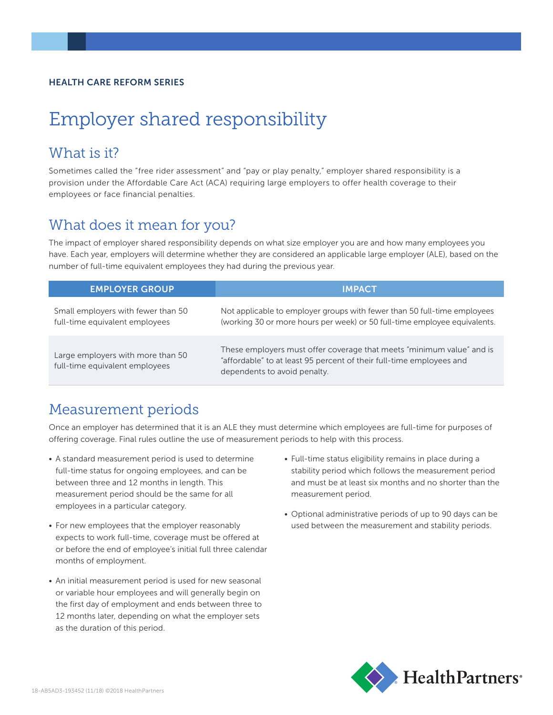#### HEALTH CARE REFORM SERIES

# Employer shared responsibility

### What is it?

Sometimes called the "free rider assessment" and "pay or play penalty," employer shared responsibility is a provision under the Affordable Care Act (ACA) requiring large employers to offer health coverage to their employees or face financial penalties.

### What does it mean for you?

The impact of employer shared responsibility depends on what size employer you are and how many employees you have. Each year, employers will determine whether they are considered an applicable large employer (ALE), based on the number of full-time equivalent employees they had during the previous year.

| <b>EMPLOYER GROUP</b>                                                | <b>IMPACT</b>                                                                                                                                                                 |
|----------------------------------------------------------------------|-------------------------------------------------------------------------------------------------------------------------------------------------------------------------------|
| Small employers with fewer than 50<br>full-time equivalent employees | Not applicable to employer groups with fewer than 50 full-time employees<br>(working 30 or more hours per week) or 50 full-time employee equivalents.                         |
| Large employers with more than 50<br>full-time equivalent employees  | These employers must offer coverage that meets "minimum value" and is<br>"affordable" to at least 95 percent of their full-time employees and<br>dependents to avoid penalty. |

### Measurement periods

Once an employer has determined that it is an ALE they must determine which employees are full-time for purposes of offering coverage. Final rules outline the use of measurement periods to help with this process.

- A standard measurement period is used to determine full-time status for ongoing employees, and can be between three and 12 months in length. This measurement period should be the same for all employees in a particular category.
- For new employees that the employer reasonably expects to work full-time, coverage must be offered at or before the end of employee's initial full three calendar months of employment.
- An initial measurement period is used for new seasonal or variable hour employees and will generally begin on the first day of employment and ends between three to 12 months later, depending on what the employer sets as the duration of this period.
- Full-time status eligibility remains in place during a stability period which follows the measurement period and must be at least six months and no shorter than the measurement period.
- Optional administrative periods of up to 90 days can be used between the measurement and stability periods.